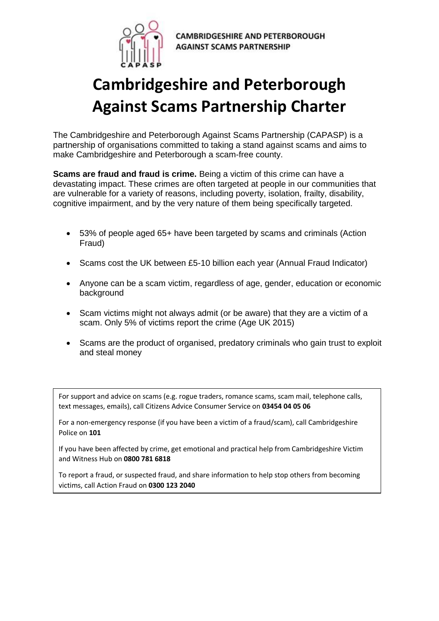

**CAMBRIDGESHIRE AND PETERBOROUGH AGAINST SCAMS PARTNERSHIP** 

# **Cambridgeshire and Peterborough Against Scams Partnership Charter**

The Cambridgeshire and Peterborough Against Scams Partnership (CAPASP) is a partnership of organisations committed to taking a stand against scams and aims to make Cambridgeshire and Peterborough a scam-free county.

**Scams are fraud and fraud is crime.** Being a victim of this crime can have a devastating impact. These crimes are often targeted at people in our communities that are vulnerable for a variety of reasons, including poverty, isolation, frailty, disability, cognitive impairment, and by the very nature of them being specifically targeted.

- 53% of people aged 65+ have been targeted by scams and criminals (Action Fraud)
- Scams cost the UK between £5-10 billion each year (Annual Fraud Indicator)
- Anyone can be a scam victim, regardless of age, gender, education or economic background
- Scam victims might not always admit (or be aware) that they are a victim of a scam. Only 5% of victims report the crime (Age UK 2015)
- Scams are the product of organised, predatory criminals who gain trust to exploit and steal money

For support and advice on scams (e.g. rogue traders, romance scams, scam mail, telephone calls, text messages, emails), call Citizens Advice Consumer Service on **03454 04 05 06** 

For a non-emergency response (if you have been a victim of a fraud/scam), call Cambridgeshire Police on **101** 

If you have been affected by crime, get emotional and practical help from Cambridgeshire Victim and Witness Hub on **0800 781 6818** 

To report a fraud, or suspected fraud, and share information to help stop others from becoming victims, call Action Fraud on **0300 123 2040**